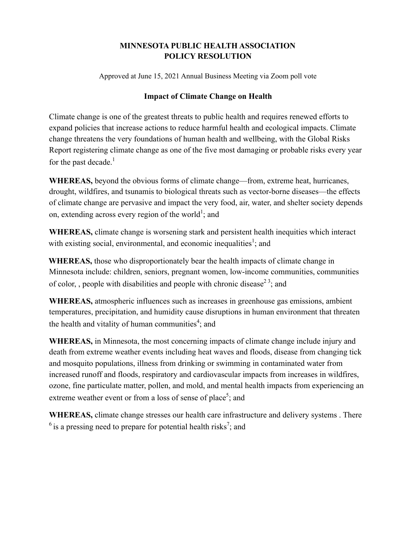## **MINNESOTA PUBLIC HEALTH ASSOCIATION POLICY RESOLUTION**

Approved at June 15, 2021 Annual Business Meeting via Zoom poll vote

## **Impact of Climate Change on Health**

Climate change is one of the greatest threats to public health and requires renewed efforts to expand policies that increase actions to reduce harmful health and ecological impacts. Climate change threatens the very foundations of human health and wellbeing, with the Global Risks Report registering climate change as one of the five most damaging or probable risks every year for the past decade. $<sup>1</sup>$ </sup>

**WHEREAS,** beyond the obvious forms of climate change—from, extreme heat, hurricanes, drought, wildfires, and tsunamis to biological threats such as vector-borne diseases—the effects of climate change are pervasive and impact the very food, air, water, and shelter society depends on, extending across every region of the world<sup>1</sup>; and

**WHEREAS,** climate change is worsening stark and persistent health inequities which interact with existing social, environmental, and economic inequalities<sup>1</sup>; and

**WHEREAS,** those who disproportionately bear the health impacts of climate change in Minnesota include: children, seniors, pregnant women, low-income communities, communities of color, , people with disabilities and people with chronic disease<sup>23</sup>; and

**WHEREAS,** atmospheric influences such as increases in greenhouse gas emissions, ambient temperatures, precipitation, and humidity cause disruptions in human environment that threaten the health and vitality of human communities<sup>4</sup>; and

**WHEREAS,** in Minnesota, the most concerning impacts of climate change include injury and death from extreme weather events including heat waves and floods, disease from changing tick and mosquito populations, illness from drinking or swimming in contaminated water from increased runoff and floods, respiratory and cardiovascular impacts from increases in wildfires, ozone, fine particulate matter, pollen, and mold, and mental health impacts from experiencing an extreme weather event or from a loss of sense of place<sup>5</sup>; and

**WHEREAS,** climate change stresses our health care infrastructure and delivery systems . There  $6$  is a pressing need to prepare for potential health risks<sup>7</sup>; and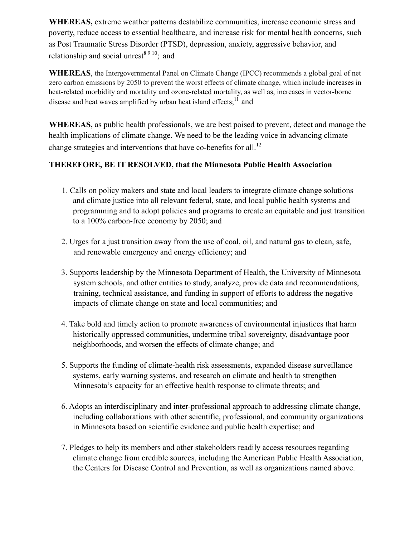**WHEREAS,** extreme weather patterns destabilize communities, increase economic stress and poverty, reduce access to essential healthcare, and increase risk for mental health concerns, such as Post Traumatic Stress Disorder (PTSD), depression, anxiety, aggressive behavior, and relationship and social unrest<sup>8910</sup>; and

**WHEREAS**, the Intergovernmental Panel on Climate Change (IPCC) recommends a global goal of net zero carbon emissions by 2050 to prevent the worst effects of climate change, which include increases in heat-related morbidity and mortality and ozone-related mortality, as well as, increases in vector-borne disease and heat waves amplified by urban heat island effects; $<sup>11</sup>$  and</sup>

**WHEREAS,** as public health professionals, we are best poised to prevent, detect and manage the health implications of climate change. We need to be the leading voice in advancing climate change strategies and interventions that have co-benefits for all.<sup>12</sup>

## **THEREFORE, BE IT RESOLVED, that the Minnesota Public Health Association**

- 1. Calls on policy makers and state and local leaders to integrate climate change solutions and climate justice into all relevant federal, state, and local public health systems and programming and to adopt policies and programs to create an equitable and just transition to a 100% carbon-free economy by 2050; and
- 2. Urges for a just transition away from the use of coal, oil, and natural gas to clean, safe, and renewable emergency and energy efficiency; and
- 3. Supports leadership by the Minnesota Department of Health, the University of Minnesota system schools, and other entities to study, analyze, provide data and recommendations, training, technical assistance, and funding in support of efforts to address the negative impacts of climate change on state and local communities; and
- 4. Take bold and timely action to promote awareness of environmental injustices that harm historically oppressed communities, undermine tribal sovereignty, disadvantage poor neighborhoods, and worsen the effects of climate change; and
- 5. Supports the funding of climate-health risk assessments, expanded disease surveillance systems, early warning systems, and research on climate and health to strengthen Minnesota's capacity for an effective health response to climate threats; and
- 6. Adopts an interdisciplinary and inter-professional approach to addressing climate change, including collaborations with other scientific, professional, and community organizations in Minnesota based on scientific evidence and public health expertise; and
- 7. Pledges to help its members and other stakeholders readily access resources regarding climate change from credible sources, including the American Public Health Association, the Centers for Disease Control and Prevention, as well as organizations named above.